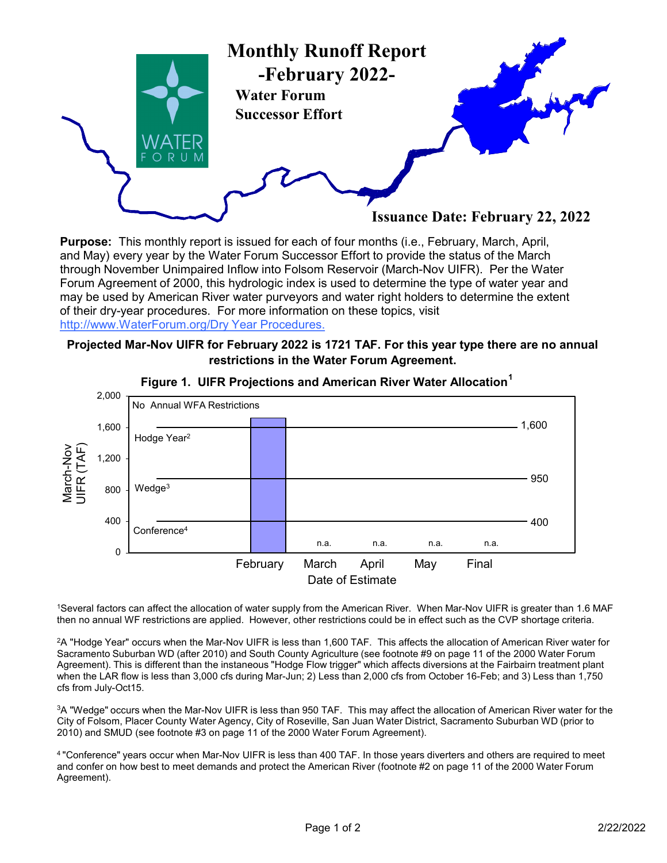

Purpose: This monthly report is issued for each of four months (i.e., February, March, April, and May) every year by the Water Forum Successor Effort to provide the status of the March through November Unimpaired Inflow into Folsom Reservoir (March-Nov UIFR). Per the Water Forum Agreement of 2000, this hydrologic index is used to determine the type of water year and may be used by American River water purveyors and water right holders to determine the extent of their dry-year procedures. For more information on these topics, visit http://www.WaterForum.org/Dry Year Procedures.

## Projected Mar-Nov UIFR for February 2022 is 1721 TAF. For this year type there are no annual restrictions in the Water Forum Agreement.



## Figure 1. UIFR Projections and American River Water Allocation<sup>1</sup>

1Several factors can affect the allocation of water supply from the American River. When Mar-Nov UIFR is greater than 1.6 MAF<br>then no annual WF restrictions are applied. However, other restrictions could be in effect such

<sup>2</sup>A "Hodge Year" occurs when the Mar-Nov UIFR is less than 1,600 TAF. This affects the allocation of American River water for Sacramento Suburban WD (after 2010) and South County Agriculture (see footnote #9 on page 11 of the 2000 Water Forum Agreement). This is different than the instaneous "Hodge Flow trigger" which affects diversions at the Fairbairn treatment plant when the LAR flow is less than 3,000 cfs during Mar-Jun; 2) Less than 2,000 cfs from October 16-Feb; and 3) Less than 1,750 cfs from July-Oct15.

3A "Wedge" occurs when the Mar-Nov UIFR is less than 950 TAF. This may affect the allocation of American River water for the City of Folsom, Placer County Water Agency, City of Roseville, San Juan Water District, Sacramento Suburban WD (prior to 2010) and SMUD (see footnote #3 on page 11 of the 2000 Water Forum Agreement).

4 "Conference" years occur when Mar-Nov UIFR is less than 400 TAF. In those years diverters and others are required to meet and confer on how best to meet demands and protect the American River (footnote #2 on page 11 of the 2000 Water Forum Agreement).